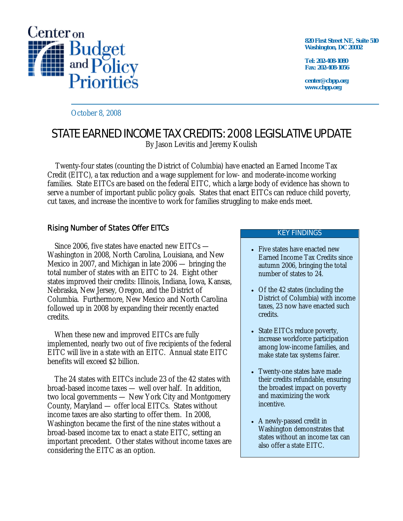

**820 First Street NE, Suite 510 Washington, DC 20002** 

**Tel: 202-408-1080 Fax: 202-408-1056** 

**center@cbpp.org www.cbpp.org** 

October 8, 2008

# STATE EARNED INCOME TAX CREDITS: 2008 LEGISLATIVE UPDATE

By Jason Levitis and Jeremy Koulish

Twenty-four states (counting the District of Columbia) have enacted an Earned Income Tax Credit (EITC), a tax reduction and a wage supplement for low- and moderate-income working families. State EITCs are based on the federal EITC, which a large body of evidence has shown to serve a number of important public policy goals. States that enact EITCs can reduce child poverty, cut taxes, and increase the incentive to work for families struggling to make ends meet.

# Rising Number of States Offer EITCs

 Since 2006, five states have enacted new EITCs — Washington in 2008, North Carolina, Louisiana, and New Mexico in 2007, and Michigan in late 2006 — bringing the total number of states with an EITC to 24. Eight other states improved their credits: Illinois, Indiana, Iowa, Kansas, Nebraska, New Jersey, Oregon, and the District of Columbia. Furthermore, New Mexico and North Carolina followed up in 2008 by expanding their recently enacted credits.

 When these new and improved EITCs are fully implemented, nearly two out of five recipients of the federal EITC will live in a state with an EITC. Annual state EITC benefits will exceed \$2 billion.

The 24 states with EITCs include 23 of the 42 states with broad-based income taxes — well over half. In addition, two local governments — New York City and Montgomery County, Maryland — offer local EITCs. States without income taxes are also starting to offer them. In 2008, Washington became the first of the nine states without a broad-based income tax to enact a state EITC, setting an important precedent. Other states without income taxes are considering the EITC as an option.

#### KEY FINDINGS

- Five states have enacted new Earned Income Tax Credits since autumn 2006, bringing the total number of states to 24.
- Of the 42 states (including the District of Columbia) with income taxes, 23 now have enacted such credits.
- State EITCs reduce poverty, increase workforce participation among low-income families, and make state tax systems fairer.
- Twenty-one states have made their credits refundable, ensuring the broadest impact on poverty and maximizing the work incentive.
- A newly-passed credit in Washington demonstrates that states without an income tax can also offer a state EITC.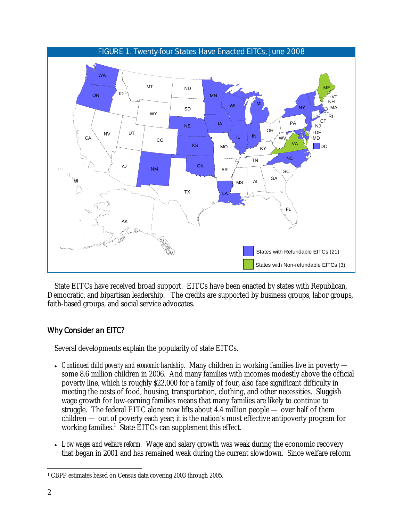

State EITCs have received broad support. EITCs have been enacted by states with Republican, Democratic, and bipartisan leadership. The credits are supported by business groups, labor groups, faith-based groups, and social service advocates.

## Why Consider an EITC?

Several developments explain the popularity of state EITCs.

- *Continued child poverty and economic hardship.* Many children in working families live in poverty some 8.6 million children in 2006. And many families with incomes modestly above the official poverty line, which is roughly \$22,000 for a family of four, also face significant difficulty in meeting the costs of food, housing, transportation, clothing, and other necessities. Sluggish wage growth for low-earning families means that many families are likely to continue to struggle. The federal EITC alone now lifts about 4.4 million people — over half of them children — out of poverty each year; it is the nation's most effective antipoverty program for working families.<sup>1</sup> State EITCs can supplement this effect.
- *Low wages and welfare reform.* Wage and salary growth was weak during the economic recovery that began in 2001 and has remained weak during the current slowdown. Since welfare reform

 $\overline{a}$ 1 CBPP estimates based on Census data covering 2003 through 2005.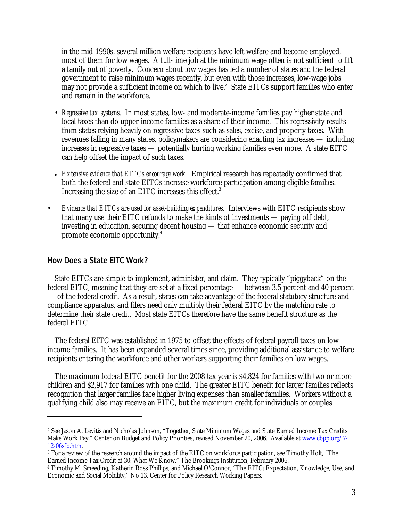in the mid-1990s, several million welfare recipients have left welfare and become employed, most of them for low wages. A full-time job at the minimum wage often is not sufficient to lift a family out of poverty. Concern about low wages has led a number of states and the federal government to raise minimum wages recently, but even with those increases, low-wage jobs may not provide a sufficient income on which to live.<sup>2</sup> State EITCs support families who enter and remain in the workforce.

- *Regressive tax systems.* In most states, low- and moderate-income families pay higher state and local taxes than do upper-income families as a share of their income. This regressivity results from states relying heavily on regressive taxes such as sales, excise, and property taxes. With revenues falling in many states, policymakers are considering enacting tax increases — including increases in regressive taxes — potentially hurting working families even more. A state EITC can help offset the impact of such taxes.
- *Extensive evidence that EITCs encourage work*. Empirical research has repeatedly confirmed that both the federal and state EITCs increase workforce participation among eligible families. Increasing the size of an EITC increases this effect.<sup>3</sup>
- *Evidence that EITCs are used for asset-building expenditures.* Interviews with EITC recipients show that many use their EITC refunds to make the kinds of investments — paying off debt, investing in education, securing decent housing — that enhance economic security and promote economic opportunity.4

## How Does a State EITC Work?

 $\overline{a}$ 

 State EITCs are simple to implement, administer, and claim. They typically "piggyback" on the federal EITC, meaning that they are set at a fixed percentage — between 3.5 percent and 40 percent — of the federal credit. As a result, states can take advantage of the federal statutory structure and compliance apparatus, and filers need only multiply their federal EITC by the matching rate to determine their state credit. Most state EITCs therefore have the same benefit structure as the federal EITC.

 The federal EITC was established in 1975 to offset the effects of federal payroll taxes on lowincome families. It has been expanded several times since, providing additional assistance to welfare recipients entering the workforce and other workers supporting their families on low wages.

 The maximum federal EITC benefit for the 2008 tax year is \$4,824 for families with two or more children and \$2,917 for families with one child. The greater EITC benefit for larger families reflects recognition that larger families face higher living expenses than smaller families. Workers without a qualifying child also may receive an EITC, but the maximum credit for individuals or couples

<sup>2</sup> See Jason A. Levitis and Nicholas Johnson, "Together, State Minimum Wages and State Earned Income Tax Credits Make Work Pay," Center on Budget and Policy Priorities, revised November 20, 2006. Available at www.cbpp.org/7-<br>12-06sfp.htm.

 $\frac{3}{3}$  For a review of the research around the impact of the EITC on workforce participation, see Timothy Holt, "The Earned Income Tax Credit at 30: What We Know," The Brookings Institution, February 2006.

<sup>&</sup>lt;sup>4</sup> Timothy M. Smeeding, Katherin Ross Phillips, and Michael O'Connor, "The EITC: Expectation, Knowledge, Use, and Economic and Social Mobility," No 13, Center for Policy Research Working Papers.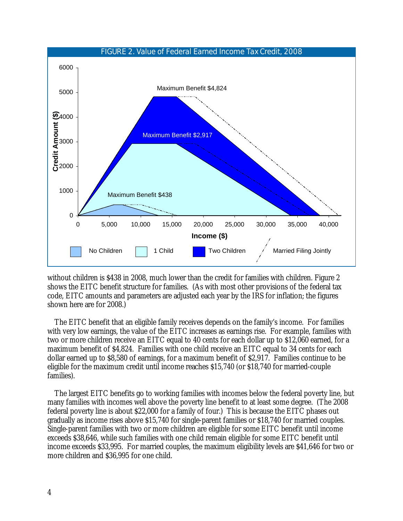

without children is \$438 in 2008, much lower than the credit for families with children. Figure 2 shows the EITC benefit structure for families. (As with most other provisions of the federal tax code, EITC amounts and parameters are adjusted each year by the IRS for inflation; the figures shown here are for 2008.)

 The EITC benefit that an eligible family receives depends on the family's income. For families with very low earnings, the value of the EITC increases as earnings rise. For example, families with two or more children receive an EITC equal to 40 cents for each dollar up to \$12,060 earned, for a maximum benefit of \$4,824. Families with one child receive an EITC equal to 34 cents for each dollar earned up to \$8,580 of earnings, for a maximum benefit of \$2,917. Families continue to be eligible for the maximum credit until income reaches \$15,740 (or \$18,740 for married-couple families).

 The largest EITC benefits go to working families with incomes below the federal poverty line, but many families with incomes well above the poverty line benefit to at least some degree. (The 2008 federal poverty line is about \$22,000 for a family of four.) This is because the EITC phases out gradually as income rises above \$15,740 for single-parent families or \$18,740 for married couples. Single-parent families with two or more children are eligible for some EITC benefit until income exceeds \$38,646, while such families with one child remain eligible for some EITC benefit until income exceeds \$33,995. For married couples, the maximum eligibility levels are \$41,646 for two or more children and \$36,995 for one child.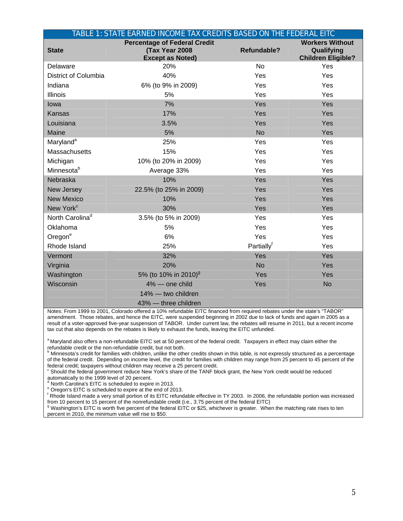|                             | TABLE 1: STATE EARNED INCOME TAX CREDITS BASED ON THE FEDERAL EITC               |                    |                                                                   |
|-----------------------------|----------------------------------------------------------------------------------|--------------------|-------------------------------------------------------------------|
| <b>State</b>                | <b>Percentage of Federal Credit</b><br>(Tax Year 2008<br><b>Except as Noted)</b> | <b>Refundable?</b> | <b>Workers Without</b><br>Qualifying<br><b>Children Eligible?</b> |
| Delaware                    | 20%                                                                              | <b>No</b>          | Yes                                                               |
| District of Columbia        | 40%                                                                              | Yes                | Yes                                                               |
| Indiana                     | 6% (to 9% in 2009)                                                               | Yes                | Yes                                                               |
| <b>Illinois</b>             | 5%                                                                               | Yes                | Yes                                                               |
| lowa                        | 7%                                                                               | Yes                | Yes                                                               |
| <b>Kansas</b>               | 17%                                                                              | Yes                | Yes                                                               |
| Louisiana                   | 3.5%                                                                             | Yes                | Yes                                                               |
| Maine                       | 5%                                                                               | <b>No</b>          | Yes                                                               |
| Maryland <sup>a</sup>       | 25%                                                                              | Yes                | Yes                                                               |
| Massachusetts               | 15%                                                                              | Yes                | Yes                                                               |
| Michigan                    | 10% (to 20% in 2009)                                                             | Yes                | Yes                                                               |
| Minnesota <sup>b</sup>      | Average 33%                                                                      | Yes                | Yes                                                               |
| Nebraska                    | 10%                                                                              | Yes                | Yes                                                               |
| New Jersey                  | 22.5% (to 25% in 2009)                                                           | Yes                | Yes                                                               |
| <b>New Mexico</b>           | 10%                                                                              | Yes                | Yes                                                               |
| New York <sup>c</sup>       | 30%                                                                              | Yes                | Yes                                                               |
| North Carolina <sup>d</sup> | 3.5% (to 5% in 2009)                                                             | Yes                | Yes                                                               |
| Oklahoma                    | 5%                                                                               | Yes                | Yes                                                               |
| Oregon <sup>e</sup>         | 6%                                                                               | Yes                | Yes                                                               |
| Rhode Island                | 25%                                                                              | Partially          | Yes                                                               |
| Vermont                     | 32%                                                                              | Yes                | Yes                                                               |
| Virginia                    | 20%                                                                              | <b>No</b>          | Yes                                                               |
| Washington                  | 5% (to 10% in 2010) <sup>9</sup>                                                 | Yes                | Yes                                                               |
| Wisconsin                   | 4% - one child                                                                   | Yes                | <b>No</b>                                                         |
|                             | 14% - two children                                                               |                    |                                                                   |
|                             | 43% - three children                                                             |                    |                                                                   |

Notes: From 1999 to 2001, Colorado offered a 10% refundable EITC financed from required rebates under the state's "TABOR" amendment. Those rebates, and hence the EITC, were suspended beginning in 2002 due to lack of funds and again in 2005 as a result of a voter-approved five-year suspension of TABOR. Under current law, the rebates will resume in 2011, but a recent income tax cut that also depends on the rebates is likely to exhaust the funds, leaving the EITC unfunded.

<sup>a</sup> Maryland also offers a non-refundable EITC set at 50 percent of the federal credit. Taxpayers in effect may claim either the

refundable credit or the non-refundable credit, but not both.<br><sup>b</sup> Minnesota's credit for families with children, unlike the other credits shown in this table, is not expressly structured as a percentage of the federal credit. Depending on income level, the credit for families with children may range from 25 percent to 45 percent of the federal credit; taxpayers without children may receive a 25 percent credit.

<sup>c</sup> Should the federal government reduce New York's share of the TANF block grant, the New York credit would be reduced

automatically to the 1999 level of 20 percent.<br><sup>d</sup> North Carolina's EITC is scheduled to expire in 2013.

<sup>e</sup> Oregon's EITC is scheduled to expire at the end of 2013.

f Rhode Island made a very small portion of its EITC refundable effective in TY 2003. In 2006, the refundable portion was increased from 10 percent to 15 percent of the nonrefundable credit (i.e., 3.75 percent of the federal EITC)

<sup>9</sup> Washington's EITC is worth five percent of the federal EITC or \$25, whichever is greater. When the matching rate rises to ten percent in 2010, the minimum value will rise to \$50.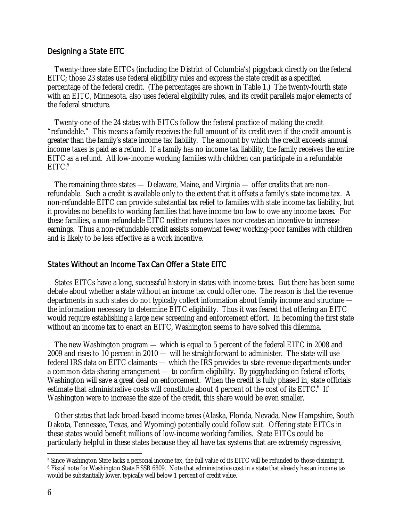#### Designing a State EITC

 Twenty-three state EITCs (including the District of Columbia's) piggyback directly on the federal EITC; those 23 states use federal eligibility rules and express the state credit as a specified percentage of the federal credit. (The percentages are shown in Table 1.) The twenty-fourth state with an EITC, Minnesota, also uses federal eligibility rules, and its credit parallels major elements of the federal structure.

 Twenty-one of the 24 states with EITCs follow the federal practice of making the credit "refundable." This means a family receives the full amount of its credit even if the credit amount is greater than the family's state income tax liability. The amount by which the credit exceeds annual income taxes is paid as a refund. If a family has no income tax liability, the family receives the entire EITC as a refund. All low-income working families with children can participate in a refundable  $EITC.<sup>5</sup>$ 

 The remaining three states — Delaware, Maine, and Virginia — offer credits that are nonrefundable. Such a credit is available only to the extent that it offsets a family's state income tax. A non-refundable EITC can provide substantial tax relief to families with state income tax liability, but it provides no benefits to working families that have income too low to owe any income taxes. For these families, a non-refundable EITC neither reduces taxes nor creates an incentive to increase earnings. Thus a non-refundable credit assists somewhat fewer working-poor families with children and is likely to be less effective as a work incentive.

#### States Without an Income Tax Can Offer a State EITC

 States EITCs have a long, successful history in states with income taxes. But there has been some debate about whether a state without an income tax could offer one. The reason is that the revenue departments in such states do not typically collect information about family income and structure the information necessary to determine EITC eligibility. Thus it was feared that offering an EITC would require establishing a large new screening and enforcement effort. In becoming the first state without an income tax to enact an EITC, Washington seems to have solved this dilemma.

 The new Washington program — which is equal to 5 percent of the federal EITC in 2008 and 2009 and rises to 10 percent in 2010 — will be straightforward to administer. The state will use federal IRS data on EITC claimants — which the IRS provides to state revenue departments under a common data-sharing arrangement — to confirm eligibility. By piggybacking on federal efforts, Washington will save a great deal on enforcement. When the credit is fully phased in, state officials estimate that administrative costs will constitute about 4 percent of the cost of its EITC.<sup>6</sup> If Washington were to increase the size of the credit, this share would be even smaller.

 Other states that lack broad-based income taxes (Alaska, Florida, Nevada, New Hampshire, South Dakota, Tennessee, Texas, and Wyoming) potentially could follow suit. Offering state EITCs in these states would benefit millions of low-income working families. State EITCs could be particularly helpful in these states because they all have tax systems that are extremely regressive,

 $\overline{a}$  $^5$  Since Washington State lacks a personal income tax, the full value of its EITC will be refunded to those claiming it. 6 Fiscal note for Washington State ESSB 6809. Note that administrative cost in a state that already has an income tax would be substantially lower, typically well below 1 percent of credit value.